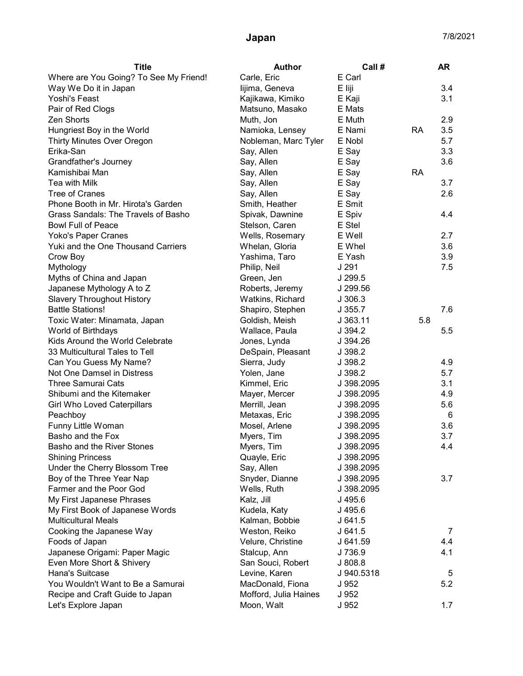| <b>Title</b>                           | <b>Author</b>         | Call #     |           | AR  |
|----------------------------------------|-----------------------|------------|-----------|-----|
| Where are You Going? To See My Friend! | Carle, Eric           | E Carl     |           |     |
| Way We Do it in Japan                  | lijima, Geneva        | E liji     |           | 3.4 |
| Yoshi's Feast                          | Kajikawa, Kimiko      | E Kaji     |           | 3.1 |
| Pair of Red Clogs                      | Matsuno, Masako       | E Mats     |           |     |
| Zen Shorts                             | Muth, Jon             | E Muth     |           | 2.9 |
| Hungriest Boy in the World             | Namioka, Lensey       | E Nami     | <b>RA</b> | 3.5 |
| <b>Thirty Minutes Over Oregon</b>      | Nobleman, Marc Tyler  | E Nobl     |           | 5.7 |
| Erika-San                              | Say, Allen            | E Say      |           | 3.3 |
| Grandfather's Journey                  | Say, Allen            | E Say      |           | 3.6 |
| Kamishibai Man                         | Say, Allen            | E Say      | <b>RA</b> |     |
| Tea with Milk                          | Say, Allen            | E Say      |           | 3.7 |
| <b>Tree of Cranes</b>                  | Say, Allen            | E Say      |           | 2.6 |
| Phone Booth in Mr. Hirota's Garden     | Smith, Heather        | E Smit     |           |     |
| Grass Sandals: The Travels of Basho    | Spivak, Dawnine       | E Spiv     |           | 4.4 |
| <b>Bowl Full of Peace</b>              | Stelson, Caren        | E Stel     |           |     |
| Yoko's Paper Cranes                    | Wells, Rosemary       | E Well     |           | 2.7 |
| Yuki and the One Thousand Carriers     | Whelan, Gloria        | E Whel     |           | 3.6 |
| Crow Boy                               | Yashima, Taro         | E Yash     |           | 3.9 |
| Mythology                              | Philip, Neil          | J 291      |           | 7.5 |
| Myths of China and Japan               | Green, Jen            | J 299.5    |           |     |
| Japanese Mythology A to Z              | Roberts, Jeremy       | J 299.56   |           |     |
| <b>Slavery Throughout History</b>      | Watkins, Richard      | J 306.3    |           |     |
| <b>Battle Stations!</b>                | Shapiro, Stephen      | J.355.7    |           | 7.6 |
| Toxic Water: Minamata, Japan           | Goldish, Meish        | J 363.11   | 5.8       |     |
| World of Birthdays                     | Wallace, Paula        | J 394.2    |           | 5.5 |
| Kids Around the World Celebrate        | Jones, Lynda          | J 394.26   |           |     |
| 33 Multicultural Tales to Tell         | DeSpain, Pleasant     | J 398.2    |           |     |
| Can You Guess My Name?                 | Sierra, Judy          | J 398.2    |           | 4.9 |
| Not One Damsel in Distress             | Yolen, Jane           | J 398.2    |           | 5.7 |
| <b>Three Samurai Cats</b>              | Kimmel, Eric          | J 398.2095 |           | 3.1 |
| Shibumi and the Kitemaker              | Mayer, Mercer         | J 398.2095 |           | 4.9 |
| <b>Girl Who Loved Caterpillars</b>     | Merrill, Jean         | J 398.2095 |           | 5.6 |
| Peachboy                               | Metaxas, Eric         | J 398.2095 |           | 6   |
| Funny Little Woman                     | Mosel, Arlene         | J 398.2095 |           | 3.6 |
| Basho and the Fox                      | Myers, Tim            | J 398.2095 |           | 3.7 |
| Basho and the River Stones             | Myers, Tim            | J 398.2095 |           | 4.4 |
| <b>Shining Princess</b>                | Quayle, Eric          | J 398.2095 |           |     |
| Under the Cherry Blossom Tree          | Say, Allen            | J 398.2095 |           |     |
| Boy of the Three Year Nap              | Snyder, Dianne        | J 398.2095 |           | 3.7 |
| Farmer and the Poor God                | Wells, Ruth           | J 398.2095 |           |     |
| My First Japanese Phrases              | Kalz, Jill            | J 495.6    |           |     |
| My First Book of Japanese Words        | Kudela, Katy          | J 495.6    |           |     |
| <b>Multicultural Meals</b>             | Kalman, Bobbie        | J 641.5    |           |     |
| Cooking the Japanese Way               | Weston, Reiko         | J641.5     |           | 7   |
| Foods of Japan                         | Velure, Christine     | J 641.59   |           | 4.4 |
| Japanese Origami: Paper Magic          | Stalcup, Ann          | J 736.9    |           | 4.1 |
| Even More Short & Shivery              | San Souci, Robert     | J 808.8    |           |     |
| Hana's Suitcase                        | Levine, Karen         | J 940.5318 |           | 5   |
| You Wouldn't Want to Be a Samurai      | MacDonald, Fiona      | J 952      |           | 5.2 |
| Recipe and Craft Guide to Japan        | Mofford, Julia Haines | J 952      |           |     |
| Let's Explore Japan                    | Moon, Walt            | J 952      |           | 1.7 |